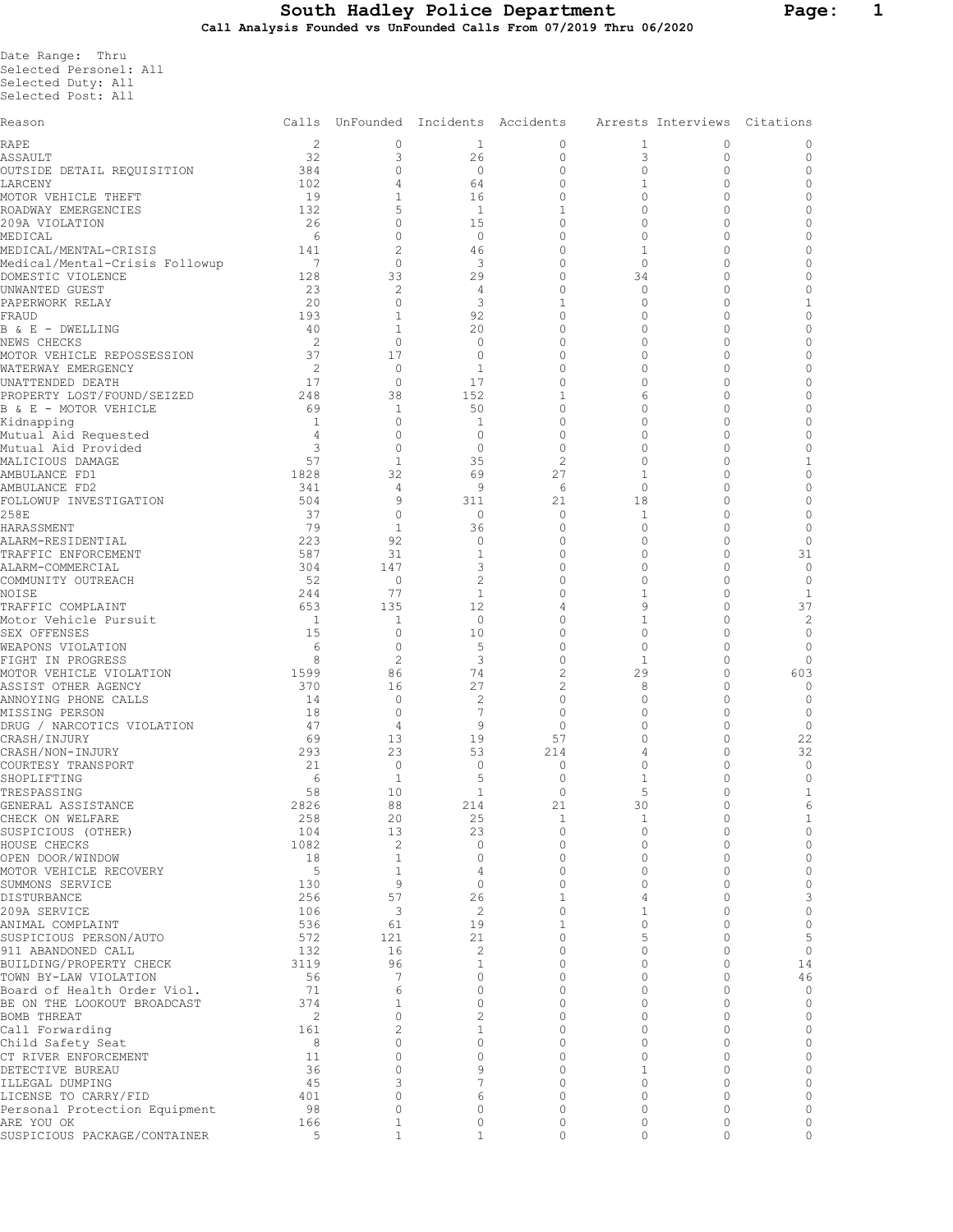| Date Range: Thru       |  |  |
|------------------------|--|--|
| Selected Personel: All |  |  |
| Selected Duty: All     |  |  |
| Selected Post: All     |  |  |
|                        |  |  |
| Reason                 |  |  |
| RAPE.                  |  |  |
| ASSAULT                |  |  |

| Reason                                              |                         | Calls UnFounded Incidents Accidents |                      |                            |                         | Arrests Interviews Citations |                        |
|-----------------------------------------------------|-------------------------|-------------------------------------|----------------------|----------------------------|-------------------------|------------------------------|------------------------|
| RAPE                                                | $\overline{2}$          | 0                                   | 1                    | 0                          | 1                       | 0                            | 0                      |
| ASSAULT                                             | 32                      | 3                                   | 26                   | $\circ$                    | 3                       | 0                            | 0                      |
| OUTSIDE DETAIL REQUISITION<br>LARCENY               | 384<br>102              | 0<br>4                              | $\circ$<br>64        | $\mathbf 0$<br>$\mathbf 0$ | $\circ$<br>$\mathbf{1}$ | $\circ$<br>$\Omega$          | 0<br>$\Omega$          |
| MOTOR VEHICLE THEFT                                 | 19                      | $\mathbf{1}$                        | 16                   | $\mathbf 0$                | $\circ$                 | $\Omega$                     | $\Omega$               |
| ROADWAY EMERGENCIES                                 | 132                     | 5                                   | -1                   | 1                          | $\Omega$                | $\Omega$                     | 0                      |
| 209A VIOLATION                                      | 26                      | $\Omega$                            | 15                   | 0                          | 0                       | <sup>0</sup>                 | 0                      |
| MEDICAL                                             | 6                       | $\Omega$                            | $\circ$              | 0                          | 0                       | 0                            |                        |
| MEDICAL/MENTAL-CRISIS                               | 141                     | 2                                   | 46                   | 0                          | 1                       |                              |                        |
| Medical/Mental-Crisis Followup<br>DOMESTIC VIOLENCE | 7<br>128                | $\mathbf 0$<br>33                   | 3<br>29              | 0<br>0                     | $\circ$<br>34           |                              |                        |
| UNWANTED GUEST                                      | 23                      | 2                                   | 4                    | 0                          | $\circ$                 | $\Omega$                     | 0                      |
| PAPERWORK RELAY                                     | 20                      | $\mathbf 0$                         | 3                    | 1                          | 0                       |                              |                        |
| FRAUD                                               | 193                     | 1                                   | 92                   | $\Omega$                   | $\Omega$                |                              | 0                      |
| B & E - DWELLING                                    | 40                      | 1                                   | 20                   | 0                          | 0                       |                              |                        |
| NEWS CHECKS<br>MOTOR VEHICLE REPOSSESSION           | -2<br>37                | $\mathbf 0$<br>17                   | $\Omega$<br>0        | 0<br>0                     | $\Omega$<br>$\Omega$    |                              | $\Omega$<br>0          |
| WATERWAY EMERGENCY                                  | $\overline{2}$          | $\circ$                             | 1                    | 0                          | $\Omega$                |                              |                        |
| UNATTENDED DEATH                                    | 17                      | $\circ$                             | 17                   | $\Omega$                   | 0                       |                              | 0                      |
| PROPERTY LOST/FOUND/SEIZED                          | 248                     | 38                                  | 152                  | 1                          | 6                       | 0                            |                        |
| B & E - MOTOR VEHICLE                               | 69                      | 1                                   | 50                   | 0                          | $\Omega$                |                              |                        |
| Kidnapping                                          | 1<br>$\overline{4}$     | 0<br>0                              | 1<br>0               | 0<br>$\Omega$              | 0<br>$\Omega$           |                              |                        |
| Mutual Aid Requested<br>Mutual Aid Provided         | $\overline{\mathbf{3}}$ | $\mathbf{0}$                        | 0                    | $\mathbf 0$                | $\Omega$                |                              | 0                      |
| MALICIOUS DAMAGE                                    | 57                      | $\mathbf{1}$                        | 35                   | $\overline{c}$             | $\Omega$                |                              |                        |
| AMBULANCE FD1                                       | 1828                    | 32                                  | 69                   | 27                         | $\mathbf{1}$            | ∩                            | 0                      |
| AMBULANCE FD2                                       | 341                     | 4                                   | 9                    | 6                          | $\Omega$                |                              | $\Omega$               |
| FOLLOWUP INVESTIGATION                              | 504                     | 9                                   | 311                  | 21                         | 18                      |                              | 0                      |
| 258E<br>HARASSMENT                                  | 37<br>79                | $\mathbf{0}$<br>$\mathbf{1}$        | $\circ$<br>36        | $\circ$<br>0               | $\mathbf{1}$<br>0       | $\Omega$<br>$\Omega$         | 0<br>0                 |
| ALARM-RESIDENTIAL                                   | 223                     | 92                                  | 0                    | $\mathbf 0$                | 0                       | $\Omega$                     | $\mathbf{0}$           |
| TRAFFIC ENFORCEMENT                                 | 587                     | 31                                  | $\mathbf{1}$         | 0                          | 0                       | $\Omega$                     | 31                     |
| ALARM-COMMERCIAL                                    | 304                     | 147                                 | 3                    | $\Omega$                   | $\Omega$                |                              | $\mathbf{0}$           |
| COMMUNITY OUTREACH                                  | 52                      | $\mathbf{0}$                        | $\overline{c}$       | 0                          | 0                       |                              | $\circ$                |
| NOISE<br>TRAFFIC COMPLAINT                          | 244<br>653              | 77<br>135                           | 1<br>12              | $\Omega$<br>4              | 1<br>9                  | ∩                            | 1<br>37                |
| Motor Vehicle Pursuit                               | $\overline{1}$          | $\mathbf{1}$                        | $\circ$              | $\mathbf 0$                | $\mathbf{1}$            | $\Omega$                     | $\overline{2}$         |
| SEX OFFENSES                                        | 15                      | 0                                   | 10                   | $\Omega$                   | $\circ$                 | 0                            | 0                      |
| WEAPONS VIOLATION                                   | 6                       | $\Omega$                            | 5                    | 0                          | $\Omega$                | $\Omega$                     | $\Omega$               |
| FIGHT IN PROGRESS                                   | 8                       | $\overline{2}$                      | 3                    | $\mathbf 0$                | $\mathbf{1}$            | $\Omega$                     | $\Omega$               |
| MOTOR VEHICLE VIOLATION<br>ASSIST OTHER AGENCY      | 1599<br>370             | 86<br>16                            | 74<br>27             | 2<br>$\overline{c}$        | 29<br>8                 | $\Omega$<br>$\Omega$         | 603<br>0               |
| ANNOYING PHONE CALLS                                | 14                      | $\mathbf 0$                         | $\overline{c}$       | $\circ$                    | $\circ$                 | $\Omega$                     | $\circ$                |
| MISSING PERSON                                      | 18                      | $\circ$                             | 7                    | $\mathbf 0$                | 0                       | $\Omega$                     | 0                      |
| DRUG / NARCOTICS VIOLATION                          | 47                      | 4                                   | 9                    | $\Omega$                   | 0                       |                              | 0                      |
| CRASH/INJURY                                        | 69                      | 13                                  | 19                   | 57                         | 0                       | $\Omega$                     | 22                     |
| CRASH/NON-INJURY<br>COURTESY TRANSPORT              | 293<br>21               | 23<br>$\circ$                       | 53<br>0              | 214<br>0                   | 4<br>$\circ$            | <sup>0</sup>                 | 32<br>$\circ$          |
| SHOPLIFTING                                         | 6                       | $\mathbf{1}$                        | 5                    | $\circ$                    | $\mathbf{1}$            |                              | $\Omega$               |
| TRESPASSING                                         | 58                      | 10                                  | 1                    | $\circ$                    | 5                       | 0                            | 1                      |
| GENERAL ASSISTANCE                                  | 2826                    | 88                                  | 214                  | 21                         | 30                      | $\Omega$                     | 6                      |
| CHECK ON WELFARE                                    | 258                     | 20                                  | 25                   | 1                          | 1                       | $\circ$                      | $\mathbf{1}$           |
| SUSPICIOUS (OTHER)<br>HOUSE CHECKS                  | 104<br>1082             | 13<br>2                             | 23<br>$\circ$        | $\mathbb O$<br>0           | $\circ$<br>$\circ$      | $\circ$<br>$\circ$           | $\circ$<br>$\circ$     |
| OPEN DOOR/WINDOW                                    | 18                      | 1                                   | 0                    | $\circ$                    | 0                       | $\circ$                      | $\mathbb O$            |
| MOTOR VEHICLE RECOVERY                              | 5                       | 1                                   | 4                    | 0                          | 0                       | $\circ$                      | 0                      |
| SUMMONS SERVICE                                     | 130                     | 9                                   | $\circ$              | $\circ$                    | 0                       | $\Omega$                     | 0                      |
| DISTURBANCE                                         | 256                     | 57                                  | 26                   | $\mathbf{1}$               | 4                       | $\circ$                      | 3                      |
| 209A SERVICE<br>ANIMAL COMPLAINT                    | 106<br>536              | 3<br>61                             | $\overline{c}$<br>19 | $\circ$<br>1               | $\mathbf{1}$<br>$\circ$ | $\circ$<br>$\circ$           | $\circ$<br>$\mathbb O$ |
| SUSPICIOUS PERSON/AUTO                              | 572                     | 121                                 | 21                   | $\circ$                    | 5                       | $\circ$                      | 5                      |
| 911 ABANDONED CALL                                  | 132                     | 16                                  | 2                    | $\circ$                    | 0                       | 0                            | $\circ$                |
| BUILDING/PROPERTY CHECK                             | 3119                    | 96                                  | $\mathbf{1}$         | $\circ$                    | 0                       | $\circ$                      | 14                     |
| TOWN BY-LAW VIOLATION                               | 56                      | 7                                   | 0                    | $\circ$                    | 0                       | $\circ$                      | 46                     |
| Board of Health Order Viol.                         | 71<br>374               | 6                                   | 0<br>0               | $\circ$<br>0               | $\circ$<br>0            | $\circ$<br>$\circ$           | $\circ$<br>0           |
| BE ON THE LOOKOUT BROADCAST<br>BOMB THREAT          | 2                       | 1<br>$\circ$                        | $\overline{c}$       | $\circ$                    | $\circ$                 | $\circ$                      | 0                      |
| Call Forwarding                                     | 161                     | 2                                   | 1                    | 0                          | 0                       | 0                            | 0                      |
| Child Safety Seat                                   | 8                       | $\Omega$                            | $\Omega$             | $\circ$                    | 0                       | $\Omega$                     | 0                      |
| CT RIVER ENFORCEMENT                                | 11                      | 0                                   | 0                    | $\circ$                    | $\circ$                 | $\circ$                      | $\circ$                |
| DETECTIVE BUREAU                                    | 36                      | 0                                   | 9                    | $\circ$                    | $\mathbf{1}$            | 0                            | 0                      |
| ILLEGAL DUMPING<br>LICENSE TO CARRY/FID             | 45<br>401               | 3<br>0                              | 7<br>6               | $\circ$<br>$\circ$         | 0<br>0                  | 0<br>$\circ$                 | $\mathbb O$<br>$\circ$ |
| Personal Protection Equipment                       | 98                      | $\Omega$                            | 0                    | $\circ$                    | 0                       | 0                            | 0                      |
| ARE YOU OK                                          | 166                     | 1                                   | 0                    | $\circ$                    | 0                       | 0                            | 0                      |
| SUSPICIOUS PACKAGE/CONTAINER                        | 5                       | 1                                   | $\mathbf{1}$         | $\Omega$                   | $\Omega$                | $\circ$                      | 0                      |
|                                                     |                         |                                     |                      |                            |                         |                              |                        |